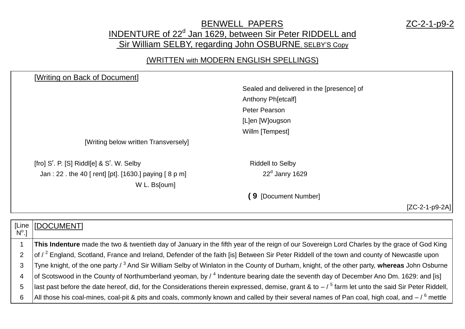## BENWELL PAPERS ZC-2-1-p9-2 INDENTURE of 22<sup>d</sup> Jan 1629, between Sir Peter RIDDELL and Sir William SELBY, regarding John OSBURNE, SELBY'S Copy

## (WRITTEN with MODERN ENGLISH SPELLINGS)

| [Writing on Back of Document]                           |                                           |                  |
|---------------------------------------------------------|-------------------------------------------|------------------|
|                                                         | Sealed and delivered in the [presence] of |                  |
|                                                         | Anthony Ph[etcalf]                        |                  |
|                                                         | Peter Pearson                             |                  |
|                                                         | [L]en [W]ougson                           |                  |
|                                                         | Willm [Tempest]                           |                  |
| [Writing below written Transversely]                    |                                           |                  |
| [fro] $Sr$ . P. [S] Riddl[e] & $Sr$ . W. Selby          | <b>Riddell to Selby</b>                   |                  |
| Jan : 22 . the 40 [ rent] [pt]. [1630.] paying [ 8 p m] | $22d$ Janry 1629                          |                  |
| W L. Bs[oum]                                            |                                           |                  |
|                                                         | [9 [Document Number]                      |                  |
|                                                         |                                           | $[ZC-2-1-p9-2A]$ |

|   | [Line   [DOCUMENT]                                                                                                                                       |
|---|----------------------------------------------------------------------------------------------------------------------------------------------------------|
|   |                                                                                                                                                          |
|   | This Indenture made the two & twentieth day of January in the fifth year of the reign of our Sovereign Lord Charles by the grace of God King             |
|   | of / <sup>2</sup> England, Scotland, France and Ireland, Defender of the faith [is] Between Sir Peter Riddell of the town and county of Newcastle upon   |
|   | Tyne knight, of the one party / <sup>3</sup> And Sir William Selby of Winlaton in the County of Durham, knight, of the other party, whereas John Osburne |
|   | of Scotswood in the County of Northumberland yeoman, by / 4 Indenture bearing date the seventh day of December Ano Dm. 1629: and [is]                    |
| 5 | last past before the date hereof, did, for the Considerations therein expressed, demise, grant & to $-$ / $^5$ farm let unto the said Sir Peter Riddell, |
| 6 | All those his coal-mines, coal-pit & pits and coals, commonly known and called by their several names of Pan coal, high coal, and $-$ / $^6$ mettle      |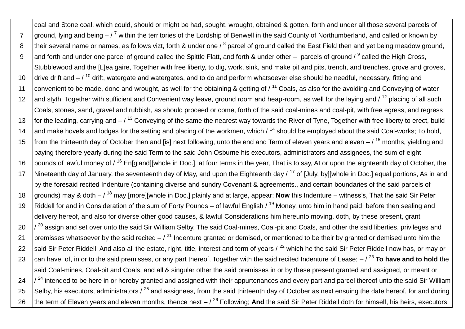coal and Stone coal, which could, should or might be had, sought, wrought, obtained & gotten, forth and under all those several parcels of 7 ground, lying and being  $-\frac{7}{7}$  within the territories of the Lordship of Benwell in the said County of Northumberland, and called or known by 8 | their several name or names, as follows vizt, forth & under one / <sup>8</sup> parcel of ground called the East Field then and yet being meadow ground, 9  $\,$  and forth and under one parcel of ground called the Spittle Flatt, and forth & under other – parcels of ground /  $^9$  called the High Cross, Stubblewood and the [L]ea gaire, Together with free liberty, to dig, work, sink, and make pit and pits, trench, and trenches, grove and groves, 10 drive drift and  $-$  / <sup>10</sup> drift, watergate and watergates, and to do and perform whatsoever else should be needful, necessary, fitting and 11 convenient to be made, done and wrought, as well for the obtaining & getting of  $/11$  Coals, as also for the avoiding and Conveying of water 12 and styth, Together with sufficient and Convenient way leave, ground room and heap-room, as well for the laying and  $\ell^{12}$  placing of all such Coals, stones, sand, gravel and rubbish, as should proceed or come, forth of the said coal-mines and coal-pit, with free egress, and regress 13 for the leading, carrying and  $-7^{13}$  Conveying of the same the nearest way towards the River of Tyne, Together with free liberty to erect, build 14 and make hovels and lodges for the setting and placing of the workmen, which  $\frac{14}{14}$  should be employed about the said Coal-works; To hold, 15  $\frac{1}{5}$  from the thirteenth day of October then and [is] next following, unto the end and Term of eleven years and eleven –  $\frac{15}{15}$  months, yielding and paying therefore yearly during the said Term to the said John Osburne his executors, administrators and assignees, the sum of eight 16 pounds of lawful money of  $\ell^{16}$  En[gland][whole in Doc.], at four terms in the year, That is to say, At or upon the eighteenth day of October, the 17 | Nineteenth day of January, the seventeenth day of May, and upon the Eighteenth day / <sup>17</sup> of [July, by][whole in Doc.] equal portions, As in and by the foresaid recited Indenture (containing diverse and sundry Covenant & agreements., and certain boundaries of the said parcels of 18 grounds) may & doth – / <sup>18</sup> may [more][whole in Doc.] plainly and at large, appear; **Now** this Indenture – witness's, That the said Sir Peter 19 Riddell for and in Consideration of the sum of Forty Pounds – of lawful English  $/19$  Money, unto him in hand paid, before then sealing and delivery hereof, and also for diverse other good causes, & lawful Considerations him hereunto moving, doth, by these present, grant  $20$   $\frac{1}{20}$  assign and set over unto the said Sir William Selby, The said Coal-mines, Coal-pit and Coals, and other the said liberties, privileges and 21 premisses whatsoever by the said recited  $-7^{21}$  Indenture granted or demised, or mentioned to be their by granted or demised unto him the 22 said Sir Peter Riddell; And also all the estate, right, title, interest and term of years  $\ell^{22}$  which he the said Sir Peter Riddell now has, or may or 23 can have, of, in or to the said premisses, or any part thereof, Together with the said recited Indenture of Lease;  $/$ <sup>23</sup> To have and to hold the said Coal-mines, Coal-pit and Coals, and all & singular other the said premisses in or by these present granted and assigned, or meant or  $24$   $\frac{1}{2}$  intended to be here in or hereby granted and assigned with their appurtenances and every part and parcel thereof unto the said Sir William 25 Selby, his executors, administrators  $\ell^{25}$  and assignees, from the said thirteenth day of October as next ensuing the date hereof, for and during 26 the term of Eleven years and eleven months, thence next – / <sup>26</sup> Following; And the said Sir Peter Riddell doth for himself, his heirs, executors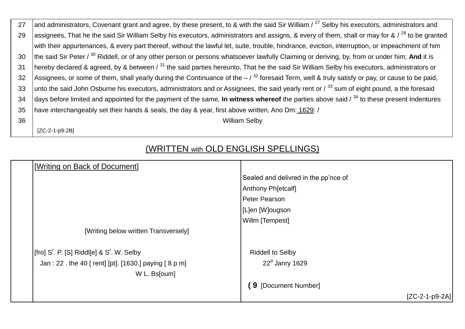| 27 | and administrators, Covenant grant and agree, by these present, to & with the said Sir William / <sup>27</sup> Selby his executors, administrators and     |
|----|------------------------------------------------------------------------------------------------------------------------------------------------------------|
| 29 | assignees, That he the said Sir William Selby his executors, administrators and assigns, & every of them, shall or may for & / <sup>29</sup> to be granted |
|    | with their appurtenances, & every part thereof, without the lawful let, suite, trouble, hindrance, eviction, interruption, or impeachment of him           |
| 30 | the said Sir Peter / <sup>30</sup> Riddell, or of any other person or persons whatsoever lawfully Claiming or deriving, by, from or under him; And it is   |
| 31 | hereby declared & agreed, by & between / $^{31}$ the said parties hereunto, That he the said Sir William Selby his executors, administrators or            |
| 32 | Assignees, or some of them, shall yearly during the Continuance of the $-$ / $^{32}$ foresaid Term, well & truly satisfy or pay, or cause to be paid,      |
| 33 | unto the said John Osburne his executors, administrators and or Assignees, the said yearly rent or / <sup>33</sup> sum of eight pound, a the foresaid      |
| 34 | days before limited and appointed for the payment of the same, <b>In witness whereof</b> the parties above said / $34$ to these present Indentures         |
| 35 | have interchangeably set their hands & seals, the day & year, first above written, Ano Dm: 1629: /                                                         |
| 36 | <b>William Selby</b>                                                                                                                                       |
|    | [ZC-2-1-p9-2B]                                                                                                                                             |

## (WRITTEN with OLD ENGLISH SPELLINGS)

| [Writing on Back of Document]                       |                                      |
|-----------------------------------------------------|--------------------------------------|
|                                                     | Sealed and delivred in the pp'nce of |
|                                                     | Anthony Ph[etcalf]                   |
|                                                     | Peter Pearson                        |
|                                                     | [L]en [W]ougson                      |
|                                                     | Willm [Tempest]                      |
| [Writing below written Transversely]                |                                      |
| $[$ fro] S'. P. [S] Riddl $[$ e] & S'. W. Selby     | <b>Riddell to Selby</b>              |
| Jan: 22. the 40 [rent] [pt]. [1630.] paying [8 p m] | $22d$ Janry 1629                     |
| W L. Bs[oum]                                        |                                      |
|                                                     | 9 [Document Number]                  |
|                                                     | $[ZC-2-1-p9-2A]$                     |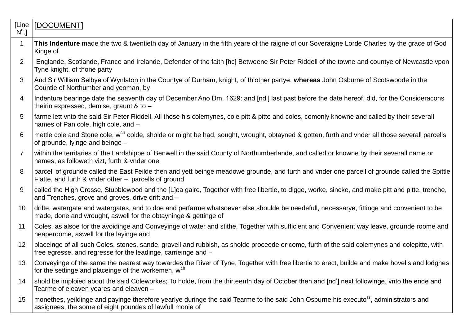| [Line<br>$N^{\circ}.$ | [DOCUMENT]                                                                                                                                                                                                      |
|-----------------------|-----------------------------------------------------------------------------------------------------------------------------------------------------------------------------------------------------------------|
| $\mathbf 1$           | This Indenture made the two & twentieth day of January in the fifth yeare of the raigne of our Soveraigne Lorde Charles by the grace of God<br>Kinge of                                                         |
| 2                     | Englande, Scotlande, France and Irelande, Defender of the faith [hc] Betweene Sir Peter Riddell of the towne and countye of Newcastle vpon<br>Tyne knight, of thone party                                       |
| 3                     | And Sir William Selbye of Wynlaton in the Countye of Durham, knight, of th'other partye, whereas John Osburne of Scotswoode in the<br>Countie of Northumberland yeoman, by                                      |
| $\overline{4}$        | Indenture bearinge date the seaventh day of December Ano Dm. 1629: and [nd'] last past before the date hereof, did, for the Consideracons<br>theirin expressed, demise, graunt $\&$ to $-$                      |
| 5                     | farme lett vnto the said Sir Peter Riddell, All those his colemynes, cole pitt & pitte and coles, comonly knowne and called by their severall<br>names of Pan cole, high cole, and -                            |
| 6                     | mettle cole and Stone cole, w <sup>ch</sup> colde, sholde or might be had, sought, wrought, obtayned & gotten, furth and vnder all those severall parcells<br>of grounde, lyinge and beinge -                   |
| $\overline{7}$        | within the territaries of the Lardshippe of Benwell in the said County of Northumberlande, and called or knowne by their severall name or<br>names, as followeth vizt, furth & vnder one                        |
| 8                     | parcell of grounde called the East Feilde then and yett beinge meadowe grounde, and furth and vnder one parcell of grounde called the Spittle<br>Flatte, and furth & vnder other - parcells of ground           |
| 9                     | called the High Crosse, Stubblewood and the [L]ea gaire, Together with free libertie, to digge, worke, sincke, and make pitt and pitte, trenche,<br>and Trenches, grove and groves, drive drift and -           |
| 10                    | drifte, watergate and watergates, and to doe and perfarme whatsoever else shoulde be needefull, necessarye, fittinge and convenient to be<br>made, done and wrought, aswell for the obtayninge & gettinge of    |
| 11                    | Coles, as alsoe for the avoidinge and Conveyinge of water and stithe, Together with sufficient and Convenient way leave, grounde roome and<br>heaperoome, aswell for the layinge and                            |
| 12 <sup>2</sup>       | placeinge of all such Coles, stones, sande, gravell and rubbish, as sholde proceede or come, furth of the said colemynes and colepitte, with<br>free egresse, and regresse for the leadinge, carrieinge and -   |
| 13                    | Conveyinge of the same the nearest way towardes the River of Tyne, Together with free libertie to erect, builde and make hovells and lodghes<br>for the settinge and placeinge of the workemen, w <sup>ch</sup> |
| 14                    | shold be imploied about the said Coleworkes; To holde, from the thirteenth day of October then and [nd'] next followinge, vnto the ende and<br>Tearme of eleaven yeares and eleaven -                           |
| 15                    | monethes, yeildinge and payinge therefore yearlye duringe the said Tearme to the said John Osburne his executo <sup>rs</sup> , administrators and<br>assignees, the some of eight poundes of lawfull monie of   |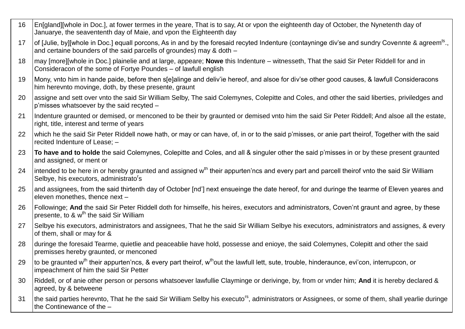- 16 En[gland][whole in Doc.], at fower termes in the yeare, That is to say, At or vpon the eighteenth day of October, the Nynetenth day of Januarye, the seavententh day of Maie, and vpon the Eighteenth day
- 17 | of [Julie, by][whole in Doc.] equall porcons, As in and by the foresaid recyted Indenture (contayninge div'se and sundry Covennte & agreem<sup>ts</sup>., and certaine bounders of the said parcells of groundes) may & doth –
- 18 may [more][whole in Doc.] plainelie and at large, appeare; **Nowe** this Indenture witnesseth, That the said Sir Peter Riddell for and in Consideracon of the some of Fortye Poundes – of lawfull english
- 19 Mony, vnto him in hande paide, before then s[e]alinge and deliv'ie hereof, and alsoe for div'se other good causes, & lawfull Consideracons him herevnto movinge, doth, by these presente, graunt
- 20 assigne and sett over vnto the said Sir William Selby, The said Colemynes, Colepitte and Coles, and other the said liberties, priviledges and p'misses whatsoever by the said recyted –
- 21 Indenture graunted or demised, or menconed to be their by graunted or demised vnto him the said Sir Peter Riddell; And alsoe all the estate, right, title, interest and terme of years
- 22 which he the said Sir Peter Riddell nowe hath, or may or can have, of, in or to the said p'misses, or anie part theirof, Together with the said recited Indenture of Lease; –
- 23 **To have and to holde** the said Colemynes, Colepitte and Coles, and all & singuler other the said p'misses in or by these present graunted and assigned, or ment or
- 24  $\,$  lintended to be here in or hereby graunted and assigned w<sup>th</sup> their appurten'ncs and every part and parcell theirof vnto the said Sir William Selbye, his executors, administrato's
- 25 and assignees, from the said thirtenth day of October [nd'] next ensueinge the date hereof, for and duringe the tearme of Eleven yeares and eleven monethes, thence next –
- 26 Followinge; **And** the said Sir Peter Riddell doth for himselfe, his heires, executors and administrators, Coven'nt graunt and agree, by these  $\sigma$  presente, to & w<sup>th</sup> the said Sir William
- 27 Selbye his executors, administrators and assignees, That he the said Sir William Selbye his executors, administrators and assignes, & every of them, shall or may for &
- 28 duringe the foresaid Tearme, quietlie and peaceablie have hold, possesse and enioye, the said Colemynes, Colepitt and other the said premisses hereby graunted, or menconed
- 29  $\pm$  to be graunted w<sup>th</sup> their appurten'ncs, & every part theirof, w<sup>th</sup>out the lawfull lett, sute, trouble, hinderaunce, evi'con, interrupcon, or impeachment of him the said Sir Petter
- 30 Riddell, or of anie other person or persons whatsoever lawfullie Clayminge or derivinge, by, from or vnder him; **And** it is hereby declared & agreed, by & betweene
- 31 Ithe said parties herevnto. That he the said Sir William Selby his executo<sup>rs</sup>, administrators or Assignees, or some of them, shall yearlie duringe the Continewance of the –